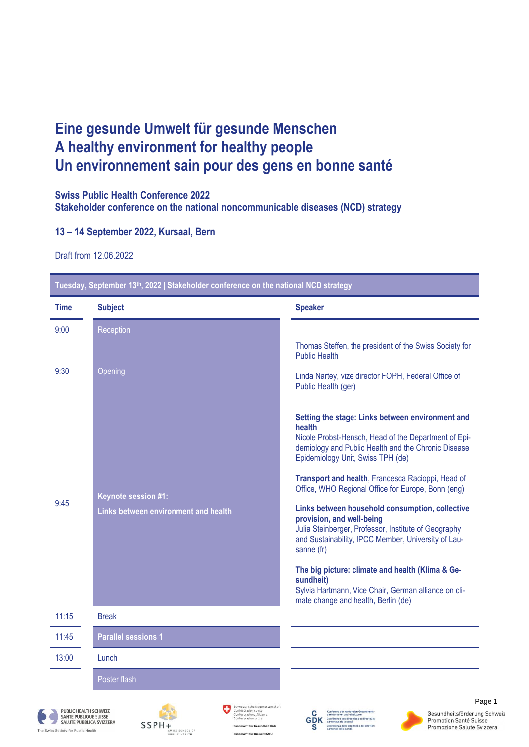## **Eine gesunde Umwelt für gesunde Menschen A healthy environment for healthy people Un environnement sain pour des gens en bonne santé**

## **Swiss Public Health Conference 2022**

**Stakeholder conference on the national noncommunicable diseases (NCD) strategy**

## **13 – 14 September 2022, Kursaal, Bern**

Draft from 12.06.2022

The Swiss Society for Public Health

| <b>Time</b>                    | <b>Subject</b>                                                                                                                                                                                                                                                       | <b>Speaker</b>                                                                                                                                                                                                                                                                                                                                                                                                                                                                                                                                                                                                                                                                                         |
|--------------------------------|----------------------------------------------------------------------------------------------------------------------------------------------------------------------------------------------------------------------------------------------------------------------|--------------------------------------------------------------------------------------------------------------------------------------------------------------------------------------------------------------------------------------------------------------------------------------------------------------------------------------------------------------------------------------------------------------------------------------------------------------------------------------------------------------------------------------------------------------------------------------------------------------------------------------------------------------------------------------------------------|
| 9:00                           | Reception                                                                                                                                                                                                                                                            |                                                                                                                                                                                                                                                                                                                                                                                                                                                                                                                                                                                                                                                                                                        |
| 9:30                           | Opening                                                                                                                                                                                                                                                              | Thomas Steffen, the president of the Swiss Society for<br><b>Public Health</b><br>Linda Nartey, vize director FOPH, Federal Office of<br>Public Health (ger)                                                                                                                                                                                                                                                                                                                                                                                                                                                                                                                                           |
| 9:45                           | <b>Keynote session #1:</b><br>Links between environment and health                                                                                                                                                                                                   | Setting the stage: Links between environment and<br>health<br>Nicole Probst-Hensch, Head of the Department of Epi-<br>demiology and Public Health and the Chronic Disease<br>Epidemiology Unit, Swiss TPH (de)<br>Transport and health, Francesca Racioppi, Head of<br>Office, WHO Regional Office for Europe, Bonn (eng)<br>Links between household consumption, collective<br>provision, and well-being<br>Julia Steinberger, Professor, Institute of Geography<br>and Sustainability, IPCC Member, University of Lau-<br>sanne (fr)<br>The big picture: climate and health (Klima & Ge-<br>sundheit)<br>Sylvia Hartmann, Vice Chair, German alliance on cli-<br>mate change and health, Berlin (de) |
| 11:15                          | <b>Break</b>                                                                                                                                                                                                                                                         |                                                                                                                                                                                                                                                                                                                                                                                                                                                                                                                                                                                                                                                                                                        |
| 11:45                          | <b>Parallel sessions 1</b>                                                                                                                                                                                                                                           |                                                                                                                                                                                                                                                                                                                                                                                                                                                                                                                                                                                                                                                                                                        |
| 13:00                          | Lunch                                                                                                                                                                                                                                                                |                                                                                                                                                                                                                                                                                                                                                                                                                                                                                                                                                                                                                                                                                                        |
|                                | Poster flash                                                                                                                                                                                                                                                         |                                                                                                                                                                                                                                                                                                                                                                                                                                                                                                                                                                                                                                                                                                        |
| wiss Society for Public Health | Schweizerische Eidgenossenschaft<br>Confédération suisse<br>PUBLIC HEALTH SCHWEIZ<br>Confederazione Svizzera<br><b>SANTE PUBLIQUE SUISSE</b><br>nfederaziun svizra<br>SALUTE PUBBLICA SVIZZERA<br>SSPH+<br>WISS SCHOOL OF<br>desamt für Umwelt BAFU<br>PUBLIC HEALTH | Page 1<br>Gesundheitsförderung Schweiz<br>n und -direkt<br>Conférence des directrices et directeurs<br>cantonaux de la santé<br><b>Promotion Santé Suisse</b><br>GDK<br>.<br>Conferenza delle direttrici e dei direttor<br>cantonali della sanità<br>Promozione Salute Svizzera                                                                                                                                                                                                                                                                                                                                                                                                                        |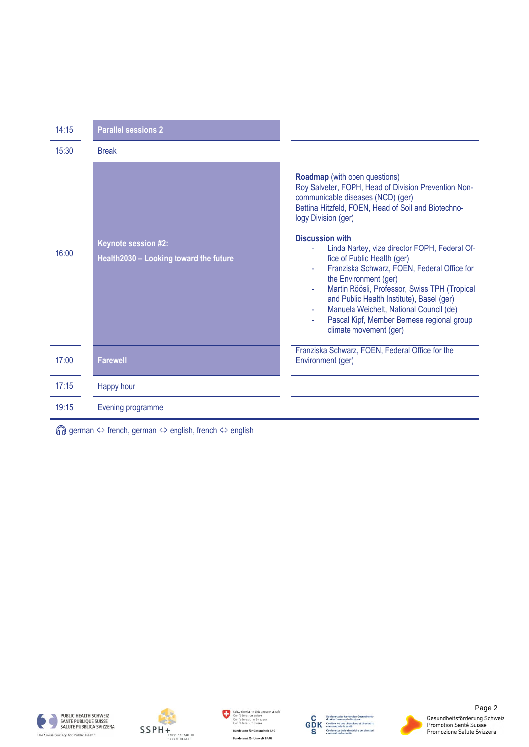| 14:15 | <b>Parallel sessions 2</b>                                           |                                                                                                                                                                                                                                                                                                                                  |
|-------|----------------------------------------------------------------------|----------------------------------------------------------------------------------------------------------------------------------------------------------------------------------------------------------------------------------------------------------------------------------------------------------------------------------|
| 15:30 | <b>Break</b>                                                         |                                                                                                                                                                                                                                                                                                                                  |
|       |                                                                      | <b>Roadmap</b> (with open questions)<br>Roy Salveter, FOPH, Head of Division Prevention Non-<br>communicable diseases (NCD) (ger)<br>Bettina Hitzfeld, FOEN, Head of Soil and Biotechno-<br>logy Division (ger)                                                                                                                  |
| 16:00 | <b>Keynote session #2:</b><br>Health2030 - Looking toward the future | <b>Discussion with</b><br>Linda Nartey, vize director FOPH, Federal Of-                                                                                                                                                                                                                                                          |
|       |                                                                      | fice of Public Health (ger)<br>Franziska Schwarz, FOEN, Federal Office for<br>the Environment (ger)<br>Martin Röösli, Professor, Swiss TPH (Tropical<br>ä,<br>and Public Health Institute), Basel (ger)<br>Manuela Weichelt, National Council (de)<br>Pascal Kipf, Member Bernese regional group<br>ä,<br>climate movement (ger) |
| 17:00 | <b>Farewell</b>                                                      | Franziska Schwarz, FOEN, Federal Office for the<br>Environment (ger)                                                                                                                                                                                                                                                             |
| 17:15 | Happy hour                                                           |                                                                                                                                                                                                                                                                                                                                  |
| 19:15 | Evening programme                                                    |                                                                                                                                                                                                                                                                                                                                  |

 $\textcircled{f}$  german  $\Leftrightarrow$  french, german  $\Leftrightarrow$  english, french  $\Leftrightarrow$  english